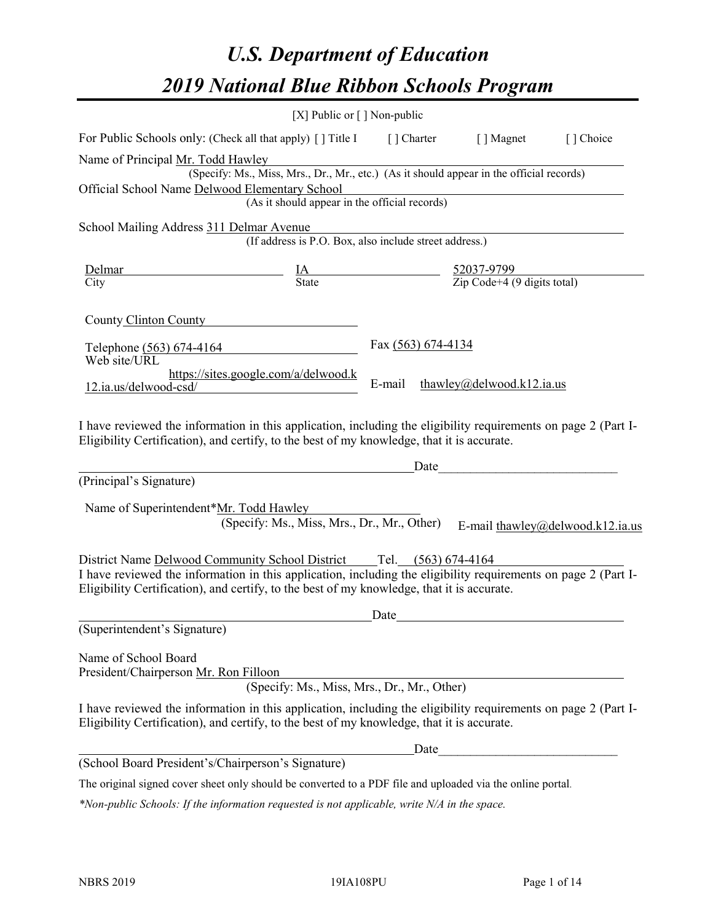# *U.S. Department of Education 2019 National Blue Ribbon Schools Program*

|                                                                                                                                                                                                                                                                                     | [X] Public or $\lceil$ ] Non-public                                                      |                    |                           |                                  |
|-------------------------------------------------------------------------------------------------------------------------------------------------------------------------------------------------------------------------------------------------------------------------------------|------------------------------------------------------------------------------------------|--------------------|---------------------------|----------------------------------|
| For Public Schools only: (Check all that apply) [] Title I [] Charter [] Magnet                                                                                                                                                                                                     |                                                                                          |                    |                           | [] Choice                        |
| Name of Principal Mr. Todd Hawley                                                                                                                                                                                                                                                   |                                                                                          |                    |                           |                                  |
|                                                                                                                                                                                                                                                                                     | (Specify: Ms., Miss, Mrs., Dr., Mr., etc.) (As it should appear in the official records) |                    |                           |                                  |
| Official School Name Delwood Elementary School                                                                                                                                                                                                                                      | Elementary School<br>(As it should appear in the official records)                       |                    |                           |                                  |
|                                                                                                                                                                                                                                                                                     |                                                                                          |                    |                           |                                  |
| School Mailing Address 311 Delmar Avenue                                                                                                                                                                                                                                            |                                                                                          |                    |                           |                                  |
|                                                                                                                                                                                                                                                                                     | (If address is P.O. Box, also include street address.)                                   |                    |                           |                                  |
| Delmar                                                                                                                                                                                                                                                                              | $\frac{IA}{State}$ $\frac{52037-9799}{Zip Code+4 (9 digits total)}$                      |                    |                           |                                  |
| City                                                                                                                                                                                                                                                                                |                                                                                          |                    |                           |                                  |
|                                                                                                                                                                                                                                                                                     |                                                                                          |                    |                           |                                  |
| County Clinton County                                                                                                                                                                                                                                                               |                                                                                          |                    |                           |                                  |
| Telephone $(563) 674-4164$                                                                                                                                                                                                                                                          |                                                                                          | Fax (563) 674-4134 |                           |                                  |
| Web site/URL                                                                                                                                                                                                                                                                        |                                                                                          |                    |                           |                                  |
| $12.ia.us/delwood-csd/$                                                                                                                                                                                                                                                             | https://sites.google.com/a/delwood.k                                                     | E-mail             | thawley@delwood.k12.ia.us |                                  |
|                                                                                                                                                                                                                                                                                     |                                                                                          |                    |                           |                                  |
| Eligibility Certification), and certify, to the best of my knowledge, that it is accurate.<br>(Principal's Signature)<br>Name of Superintendent*Mr. Todd Hawley                                                                                                                     | (Specify: Ms., Miss, Mrs., Dr., Mr., Other)                                              |                    | Date                      | E-mail thawley@delwood.k12.ia.us |
| District Name Delwood Community School District Tel. (563) 674-4164<br>I have reviewed the information in this application, including the eligibility requirements on page 2 (Part I-<br>Eligibility Certification), and certify, to the best of my knowledge, that it is accurate. |                                                                                          |                    |                           |                                  |
|                                                                                                                                                                                                                                                                                     |                                                                                          | Date               |                           |                                  |
| (Superintendent's Signature)                                                                                                                                                                                                                                                        |                                                                                          |                    |                           |                                  |
| Name of School Board<br>President/Chairperson Mr. Ron Filloon                                                                                                                                                                                                                       | (Specify: Ms., Miss, Mrs., Dr., Mr., Other)                                              |                    |                           |                                  |
| I have reviewed the information in this application, including the eligibility requirements on page 2 (Part I-<br>Eligibility Certification), and certify, to the best of my knowledge, that it is accurate.                                                                        |                                                                                          |                    |                           |                                  |
|                                                                                                                                                                                                                                                                                     |                                                                                          | Date               |                           |                                  |
| (School Board President's/Chairperson's Signature)                                                                                                                                                                                                                                  |                                                                                          |                    |                           |                                  |
| The original signed cover sheet only should be converted to a PDF file and uploaded via the online portal.                                                                                                                                                                          |                                                                                          |                    |                           |                                  |

*\*Non-public Schools: If the information requested is not applicable, write N/A in the space.*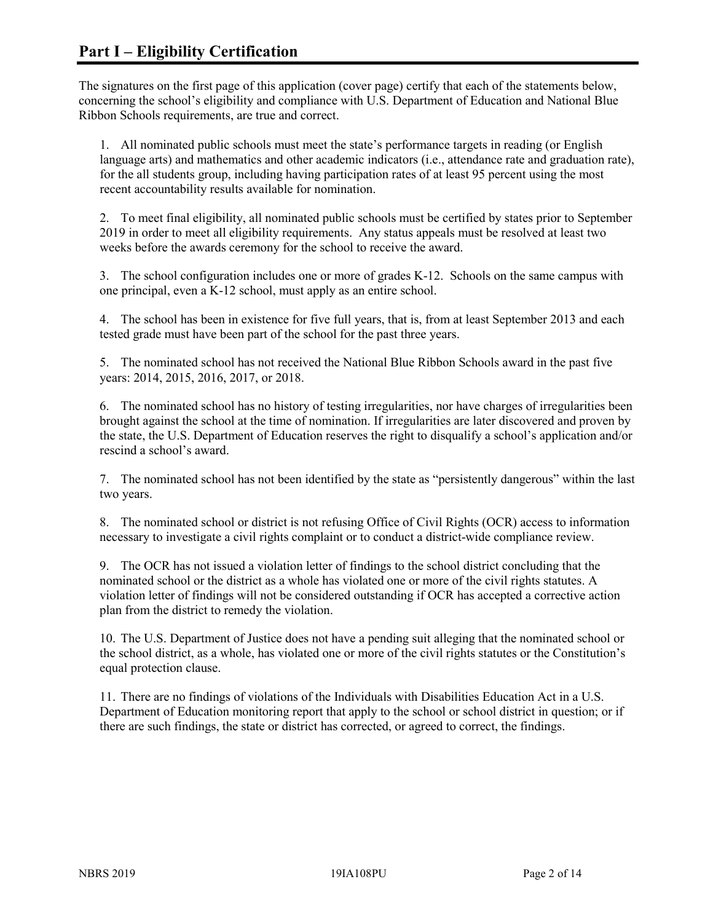The signatures on the first page of this application (cover page) certify that each of the statements below, concerning the school's eligibility and compliance with U.S. Department of Education and National Blue Ribbon Schools requirements, are true and correct.

1. All nominated public schools must meet the state's performance targets in reading (or English language arts) and mathematics and other academic indicators (i.e., attendance rate and graduation rate), for the all students group, including having participation rates of at least 95 percent using the most recent accountability results available for nomination.

2. To meet final eligibility, all nominated public schools must be certified by states prior to September 2019 in order to meet all eligibility requirements. Any status appeals must be resolved at least two weeks before the awards ceremony for the school to receive the award.

3. The school configuration includes one or more of grades K-12. Schools on the same campus with one principal, even a K-12 school, must apply as an entire school.

4. The school has been in existence for five full years, that is, from at least September 2013 and each tested grade must have been part of the school for the past three years.

5. The nominated school has not received the National Blue Ribbon Schools award in the past five years: 2014, 2015, 2016, 2017, or 2018.

6. The nominated school has no history of testing irregularities, nor have charges of irregularities been brought against the school at the time of nomination. If irregularities are later discovered and proven by the state, the U.S. Department of Education reserves the right to disqualify a school's application and/or rescind a school's award.

7. The nominated school has not been identified by the state as "persistently dangerous" within the last two years.

8. The nominated school or district is not refusing Office of Civil Rights (OCR) access to information necessary to investigate a civil rights complaint or to conduct a district-wide compliance review.

9. The OCR has not issued a violation letter of findings to the school district concluding that the nominated school or the district as a whole has violated one or more of the civil rights statutes. A violation letter of findings will not be considered outstanding if OCR has accepted a corrective action plan from the district to remedy the violation.

10. The U.S. Department of Justice does not have a pending suit alleging that the nominated school or the school district, as a whole, has violated one or more of the civil rights statutes or the Constitution's equal protection clause.

11. There are no findings of violations of the Individuals with Disabilities Education Act in a U.S. Department of Education monitoring report that apply to the school or school district in question; or if there are such findings, the state or district has corrected, or agreed to correct, the findings.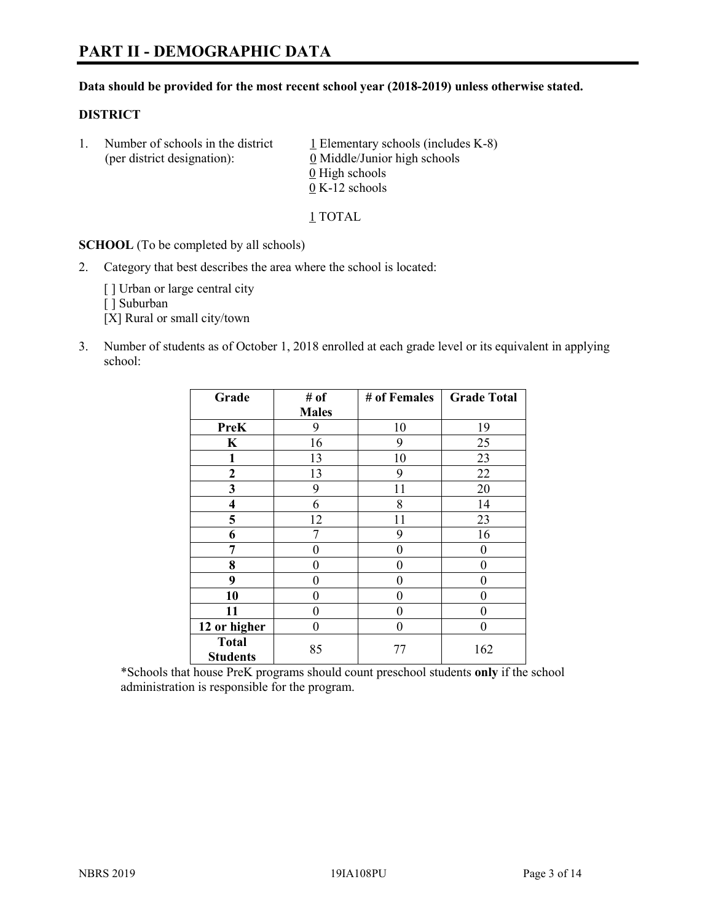#### **Data should be provided for the most recent school year (2018-2019) unless otherwise stated.**

#### **DISTRICT**

1. Number of schools in the district  $1$  Elementary schools (includes K-8) (per district designation): 0 Middle/Junior high schools  $\underline{0}$  High schools 0 K-12 schools

1 TOTAL

**SCHOOL** (To be completed by all schools)

2. Category that best describes the area where the school is located:

[ ] Urban or large central city

[ ] Suburban

[X] Rural or small city/town

3. Number of students as of October 1, 2018 enrolled at each grade level or its equivalent in applying school:

| Grade                           | # of         | # of Females | <b>Grade Total</b> |
|---------------------------------|--------------|--------------|--------------------|
|                                 | <b>Males</b> |              |                    |
| <b>PreK</b>                     | 9            | 10           | 19                 |
| $\mathbf K$                     | 16           | 9            | 25                 |
| 1                               | 13           | 10           | 23                 |
| 2                               | 13           | 9            | 22                 |
| 3                               | 9            | 11           | 20                 |
| $\overline{\mathbf{4}}$         | 6            | 8            | 14                 |
| 5                               | 12           | 11           | 23                 |
| 6                               | 7            | 9            | 16                 |
| 7                               | 0            | $\theta$     | 0                  |
| 8                               | 0            | 0            | 0                  |
| 9                               | 0            | 0            | 0                  |
| 10                              | 0            | 0            | 0                  |
| 11                              | $\theta$     | 0            | 0                  |
| 12 or higher                    | 0            | 0            | 0                  |
| <b>Total</b><br><b>Students</b> | 85           | 77           | 162                |

\*Schools that house PreK programs should count preschool students **only** if the school administration is responsible for the program.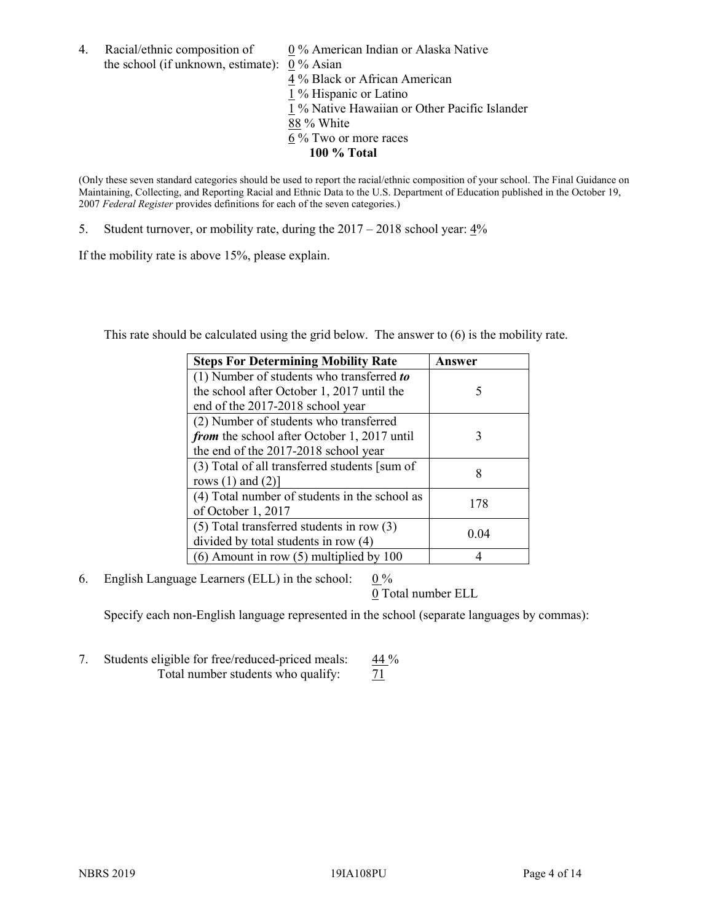4. Racial/ethnic composition of  $0\%$  American Indian or Alaska Native the school (if unknown, estimate): 0 % Asian

4 % Black or African American 1 % Hispanic or Latino 1 % Native Hawaiian or Other Pacific Islander 88 % White  $6\%$  Two or more races **100 % Total**

(Only these seven standard categories should be used to report the racial/ethnic composition of your school. The Final Guidance on Maintaining, Collecting, and Reporting Racial and Ethnic Data to the U.S. Department of Education published in the October 19, 2007 *Federal Register* provides definitions for each of the seven categories.)

5. Student turnover, or mobility rate, during the 2017 – 2018 school year: 4%

If the mobility rate is above 15%, please explain.

This rate should be calculated using the grid below. The answer to (6) is the mobility rate.

| <b>Steps For Determining Mobility Rate</b>    | Answer |
|-----------------------------------------------|--------|
| (1) Number of students who transferred to     |        |
| the school after October 1, 2017 until the    | 5      |
| end of the 2017-2018 school year              |        |
| (2) Number of students who transferred        |        |
| from the school after October 1, 2017 until   | 3      |
| the end of the 2017-2018 school year          |        |
| (3) Total of all transferred students [sum of | 8      |
| rows $(1)$ and $(2)$ ]                        |        |
| (4) Total number of students in the school as | 178    |
| of October 1, 2017                            |        |
| $(5)$ Total transferred students in row $(3)$ | 0.04   |
| divided by total students in row (4)          |        |
| (6) Amount in row (5) multiplied by 100       |        |

6. English Language Learners (ELL) in the school:  $0\%$ 

0 Total number ELL

Specify each non-English language represented in the school (separate languages by commas):

7. Students eligible for free/reduced-priced meals: 44 % Total number students who qualify:  $\frac{71}{2}$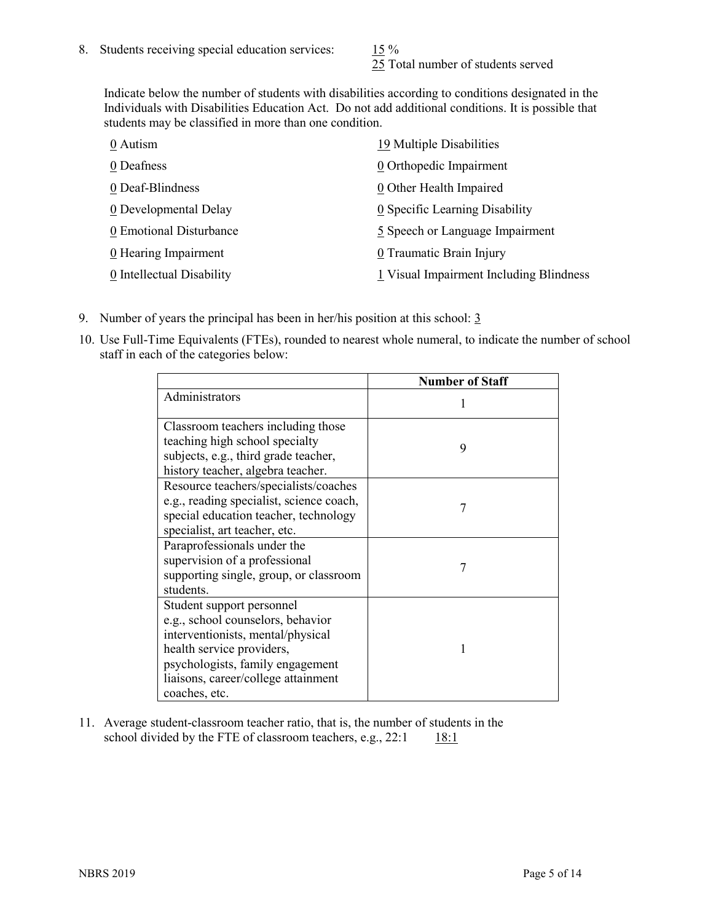25 Total number of students served

Indicate below the number of students with disabilities according to conditions designated in the Individuals with Disabilities Education Act. Do not add additional conditions. It is possible that students may be classified in more than one condition.

| 0 Autism                  | 19 Multiple Disabilities                |
|---------------------------|-----------------------------------------|
| 0 Deafness                | 0 Orthopedic Impairment                 |
| 0 Deaf-Blindness          | 0 Other Health Impaired                 |
| 0 Developmental Delay     | 0 Specific Learning Disability          |
| 0 Emotional Disturbance   | 5 Speech or Language Impairment         |
| 0 Hearing Impairment      | 0 Traumatic Brain Injury                |
| 0 Intellectual Disability | 1 Visual Impairment Including Blindness |

- 9. Number of years the principal has been in her/his position at this school:  $\frac{3}{5}$
- 10. Use Full-Time Equivalents (FTEs), rounded to nearest whole numeral, to indicate the number of school staff in each of the categories below:

|                                                                                                                                                                                                                              | <b>Number of Staff</b> |
|------------------------------------------------------------------------------------------------------------------------------------------------------------------------------------------------------------------------------|------------------------|
| Administrators                                                                                                                                                                                                               |                        |
| Classroom teachers including those<br>teaching high school specialty<br>subjects, e.g., third grade teacher,<br>history teacher, algebra teacher.                                                                            | 9                      |
| Resource teachers/specialists/coaches<br>e.g., reading specialist, science coach,<br>special education teacher, technology<br>specialist, art teacher, etc.                                                                  |                        |
| Paraprofessionals under the<br>supervision of a professional<br>supporting single, group, or classroom<br>students.                                                                                                          | 7                      |
| Student support personnel<br>e.g., school counselors, behavior<br>interventionists, mental/physical<br>health service providers,<br>psychologists, family engagement<br>liaisons, career/college attainment<br>coaches, etc. |                        |

11. Average student-classroom teacher ratio, that is, the number of students in the school divided by the FTE of classroom teachers, e.g.,  $22:1$  18:1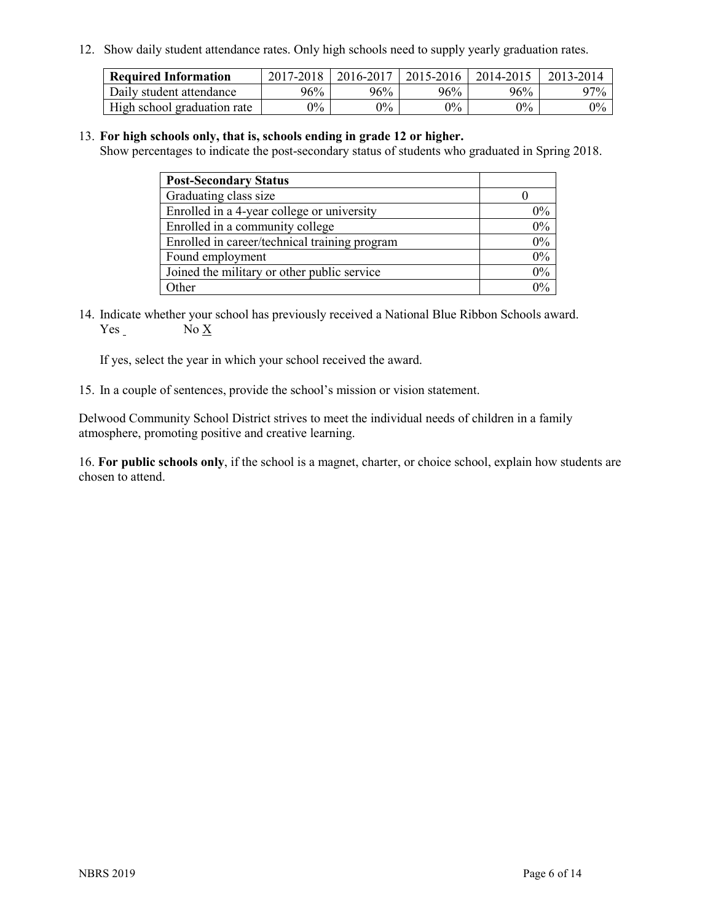12. Show daily student attendance rates. Only high schools need to supply yearly graduation rates.

| <b>Required Information</b> | 2017-2018 | 2016-2017 | 2015-2016 | 2014-2015 | 2013-2014 |
|-----------------------------|-----------|-----------|-----------|-----------|-----------|
| Daily student attendance    | 96%       | 96%       | 96%       | 96%       | $97\%$    |
| High school graduation rate | $0\%$     | $0\%$     | $0\%$     | $0\%$     | $0\%$     |

#### 13. **For high schools only, that is, schools ending in grade 12 or higher.**

Show percentages to indicate the post-secondary status of students who graduated in Spring 2018.

| <b>Post-Secondary Status</b>                  |       |
|-----------------------------------------------|-------|
| Graduating class size                         |       |
| Enrolled in a 4-year college or university    | $0\%$ |
| Enrolled in a community college               | 0%    |
| Enrolled in career/technical training program | 0%    |
| Found employment                              | 0%    |
| Joined the military or other public service   | 0%    |
| Other                                         | በ‰    |

14. Indicate whether your school has previously received a National Blue Ribbon Schools award. Yes No X

If yes, select the year in which your school received the award.

15. In a couple of sentences, provide the school's mission or vision statement.

Delwood Community School District strives to meet the individual needs of children in a family atmosphere, promoting positive and creative learning.

16. **For public schools only**, if the school is a magnet, charter, or choice school, explain how students are chosen to attend.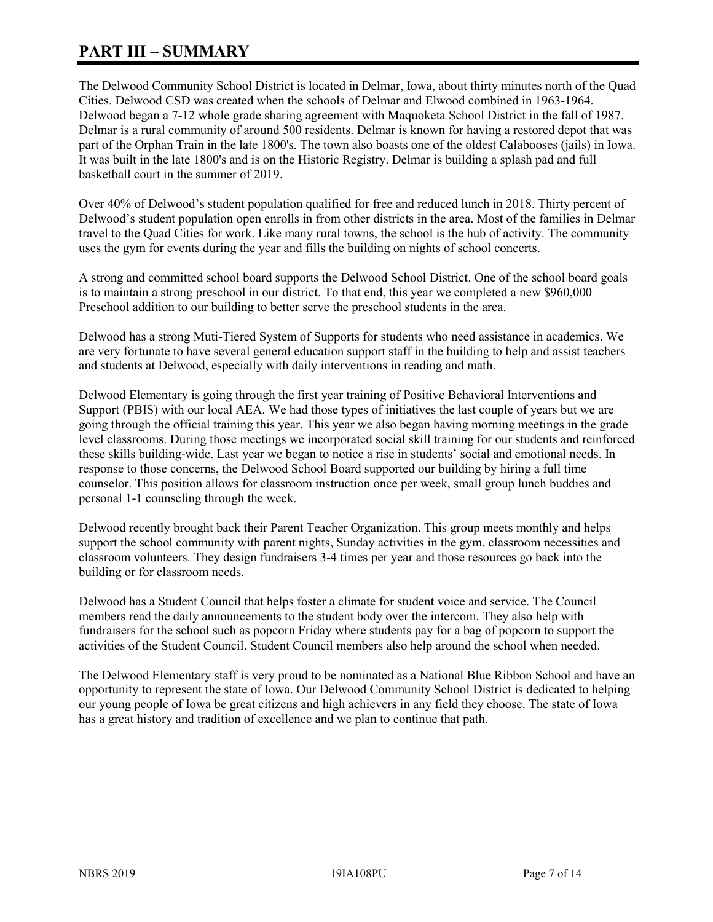# **PART III – SUMMARY**

The Delwood Community School District is located in Delmar, Iowa, about thirty minutes north of the Quad Cities. Delwood CSD was created when the schools of Delmar and Elwood combined in 1963-1964. Delwood began a 7-12 whole grade sharing agreement with Maquoketa School District in the fall of 1987. Delmar is a rural community of around 500 residents. Delmar is known for having a restored depot that was part of the Orphan Train in the late 1800's. The town also boasts one of the oldest Calabooses (jails) in Iowa. It was built in the late 1800's and is on the Historic Registry. Delmar is building a splash pad and full basketball court in the summer of 2019.

Over 40% of Delwood's student population qualified for free and reduced lunch in 2018. Thirty percent of Delwood's student population open enrolls in from other districts in the area. Most of the families in Delmar travel to the Quad Cities for work. Like many rural towns, the school is the hub of activity. The community uses the gym for events during the year and fills the building on nights of school concerts.

A strong and committed school board supports the Delwood School District. One of the school board goals is to maintain a strong preschool in our district. To that end, this year we completed a new \$960,000 Preschool addition to our building to better serve the preschool students in the area.

Delwood has a strong Muti-Tiered System of Supports for students who need assistance in academics. We are very fortunate to have several general education support staff in the building to help and assist teachers and students at Delwood, especially with daily interventions in reading and math.

Delwood Elementary is going through the first year training of Positive Behavioral Interventions and Support (PBIS) with our local AEA. We had those types of initiatives the last couple of years but we are going through the official training this year. This year we also began having morning meetings in the grade level classrooms. During those meetings we incorporated social skill training for our students and reinforced these skills building-wide. Last year we began to notice a rise in students' social and emotional needs. In response to those concerns, the Delwood School Board supported our building by hiring a full time counselor. This position allows for classroom instruction once per week, small group lunch buddies and personal 1-1 counseling through the week.

Delwood recently brought back their Parent Teacher Organization. This group meets monthly and helps support the school community with parent nights, Sunday activities in the gym, classroom necessities and classroom volunteers. They design fundraisers 3-4 times per year and those resources go back into the building or for classroom needs.

Delwood has a Student Council that helps foster a climate for student voice and service. The Council members read the daily announcements to the student body over the intercom. They also help with fundraisers for the school such as popcorn Friday where students pay for a bag of popcorn to support the activities of the Student Council. Student Council members also help around the school when needed.

The Delwood Elementary staff is very proud to be nominated as a National Blue Ribbon School and have an opportunity to represent the state of Iowa. Our Delwood Community School District is dedicated to helping our young people of Iowa be great citizens and high achievers in any field they choose. The state of Iowa has a great history and tradition of excellence and we plan to continue that path.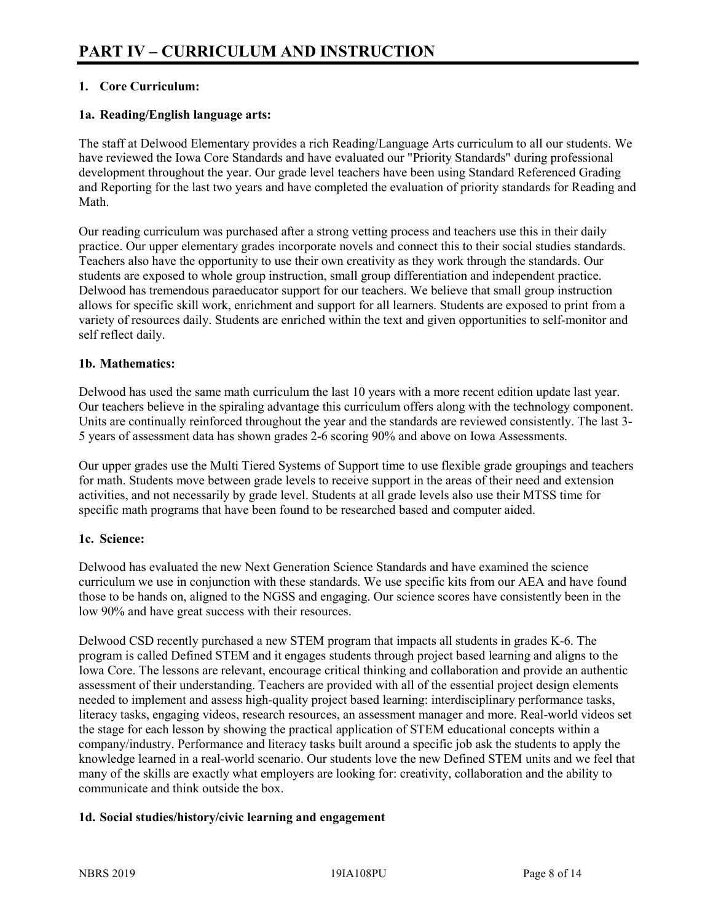# **1. Core Curriculum:**

## **1a. Reading/English language arts:**

The staff at Delwood Elementary provides a rich Reading/Language Arts curriculum to all our students. We have reviewed the Iowa Core Standards and have evaluated our "Priority Standards" during professional development throughout the year. Our grade level teachers have been using Standard Referenced Grading and Reporting for the last two years and have completed the evaluation of priority standards for Reading and Math.

Our reading curriculum was purchased after a strong vetting process and teachers use this in their daily practice. Our upper elementary grades incorporate novels and connect this to their social studies standards. Teachers also have the opportunity to use their own creativity as they work through the standards. Our students are exposed to whole group instruction, small group differentiation and independent practice. Delwood has tremendous paraeducator support for our teachers. We believe that small group instruction allows for specific skill work, enrichment and support for all learners. Students are exposed to print from a variety of resources daily. Students are enriched within the text and given opportunities to self-monitor and self reflect daily.

#### **1b. Mathematics:**

Delwood has used the same math curriculum the last 10 years with a more recent edition update last year. Our teachers believe in the spiraling advantage this curriculum offers along with the technology component. Units are continually reinforced throughout the year and the standards are reviewed consistently. The last 3- 5 years of assessment data has shown grades 2-6 scoring 90% and above on Iowa Assessments.

Our upper grades use the Multi Tiered Systems of Support time to use flexible grade groupings and teachers for math. Students move between grade levels to receive support in the areas of their need and extension activities, and not necessarily by grade level. Students at all grade levels also use their MTSS time for specific math programs that have been found to be researched based and computer aided.

# **1c. Science:**

Delwood has evaluated the new Next Generation Science Standards and have examined the science curriculum we use in conjunction with these standards. We use specific kits from our AEA and have found those to be hands on, aligned to the NGSS and engaging. Our science scores have consistently been in the low 90% and have great success with their resources.

Delwood CSD recently purchased a new STEM program that impacts all students in grades K-6. The program is called Defined STEM and it engages students through project based learning and aligns to the Iowa Core. The lessons are relevant, encourage critical thinking and collaboration and provide an authentic assessment of their understanding. Teachers are provided with all of the essential project design elements needed to implement and assess high-quality project based learning: interdisciplinary performance tasks, literacy tasks, engaging videos, research resources, an assessment manager and more. Real-world videos set the stage for each lesson by showing the practical application of STEM educational concepts within a company/industry. Performance and literacy tasks built around a specific job ask the students to apply the knowledge learned in a real-world scenario. Our students love the new Defined STEM units and we feel that many of the skills are exactly what employers are looking for: creativity, collaboration and the ability to communicate and think outside the box.

# **1d. Social studies/history/civic learning and engagement**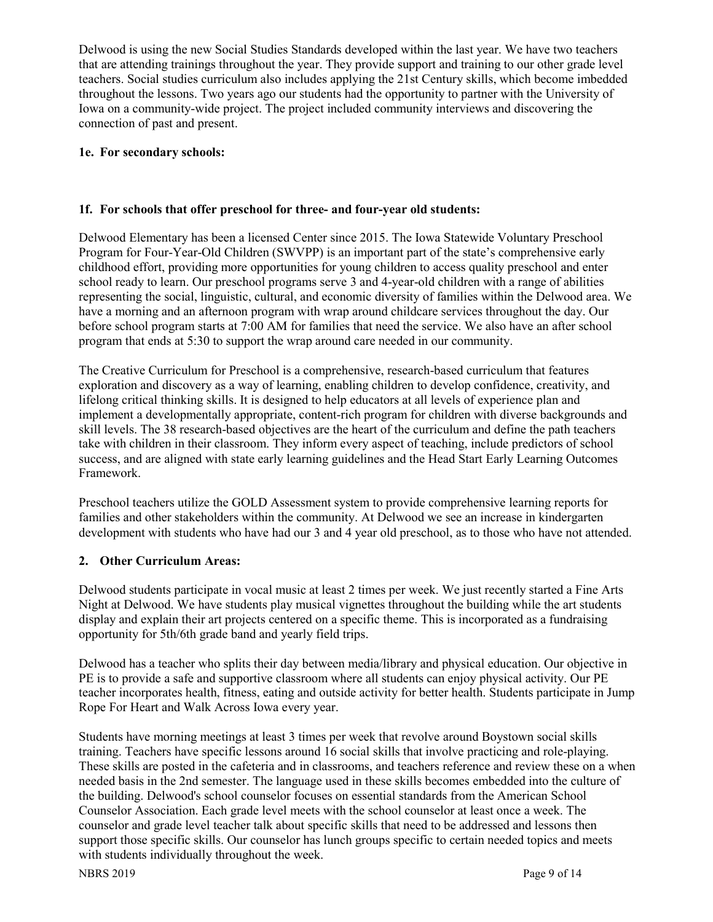Delwood is using the new Social Studies Standards developed within the last year. We have two teachers that are attending trainings throughout the year. They provide support and training to our other grade level teachers. Social studies curriculum also includes applying the 21st Century skills, which become imbedded throughout the lessons. Two years ago our students had the opportunity to partner with the University of Iowa on a community-wide project. The project included community interviews and discovering the connection of past and present.

#### **1e. For secondary schools:**

#### **1f. For schools that offer preschool for three- and four-year old students:**

Delwood Elementary has been a licensed Center since 2015. The Iowa Statewide Voluntary Preschool Program for Four-Year-Old Children (SWVPP) is an important part of the state's comprehensive early childhood effort, providing more opportunities for young children to access quality preschool and enter school ready to learn. Our preschool programs serve 3 and 4-year-old children with a range of abilities representing the social, linguistic, cultural, and economic diversity of families within the Delwood area. We have a morning and an afternoon program with wrap around childcare services throughout the day. Our before school program starts at 7:00 AM for families that need the service. We also have an after school program that ends at 5:30 to support the wrap around care needed in our community.

The Creative Curriculum for Preschool is a comprehensive, research-based curriculum that features exploration and discovery as a way of learning, enabling children to develop confidence, creativity, and lifelong critical thinking skills. It is designed to help educators at all levels of experience plan and implement a developmentally appropriate, content-rich program for children with diverse backgrounds and skill levels. The 38 research-based objectives are the heart of the curriculum and define the path teachers take with children in their classroom. They inform every aspect of teaching, include predictors of school success, and are aligned with state early learning guidelines and the Head Start Early Learning Outcomes Framework.

Preschool teachers utilize the GOLD Assessment system to provide comprehensive learning reports for families and other stakeholders within the community. At Delwood we see an increase in kindergarten development with students who have had our 3 and 4 year old preschool, as to those who have not attended.

# **2. Other Curriculum Areas:**

Delwood students participate in vocal music at least 2 times per week. We just recently started a Fine Arts Night at Delwood. We have students play musical vignettes throughout the building while the art students display and explain their art projects centered on a specific theme. This is incorporated as a fundraising opportunity for 5th/6th grade band and yearly field trips.

Delwood has a teacher who splits their day between media/library and physical education. Our objective in PE is to provide a safe and supportive classroom where all students can enjoy physical activity. Our PE teacher incorporates health, fitness, eating and outside activity for better health. Students participate in Jump Rope For Heart and Walk Across Iowa every year.

Students have morning meetings at least 3 times per week that revolve around Boystown social skills training. Teachers have specific lessons around 16 social skills that involve practicing and role-playing. These skills are posted in the cafeteria and in classrooms, and teachers reference and review these on a when needed basis in the 2nd semester. The language used in these skills becomes embedded into the culture of the building. Delwood's school counselor focuses on essential standards from the American School Counselor Association. Each grade level meets with the school counselor at least once a week. The counselor and grade level teacher talk about specific skills that need to be addressed and lessons then support those specific skills. Our counselor has lunch groups specific to certain needed topics and meets with students individually throughout the week.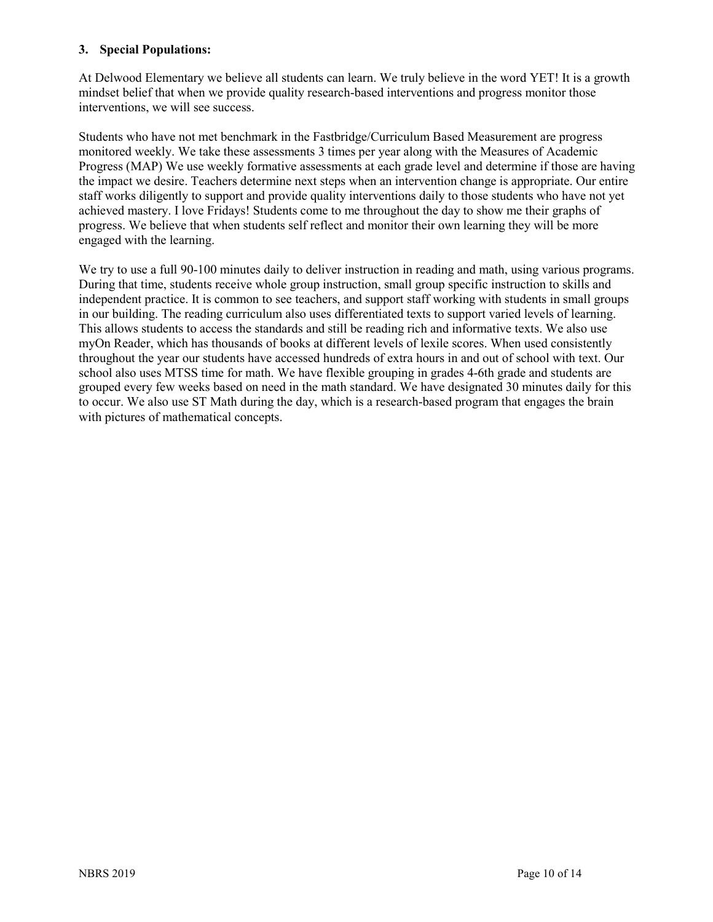#### **3. Special Populations:**

At Delwood Elementary we believe all students can learn. We truly believe in the word YET! It is a growth mindset belief that when we provide quality research-based interventions and progress monitor those interventions, we will see success.

Students who have not met benchmark in the Fastbridge/Curriculum Based Measurement are progress monitored weekly. We take these assessments 3 times per year along with the Measures of Academic Progress (MAP) We use weekly formative assessments at each grade level and determine if those are having the impact we desire. Teachers determine next steps when an intervention change is appropriate. Our entire staff works diligently to support and provide quality interventions daily to those students who have not yet achieved mastery. I love Fridays! Students come to me throughout the day to show me their graphs of progress. We believe that when students self reflect and monitor their own learning they will be more engaged with the learning.

We try to use a full 90-100 minutes daily to deliver instruction in reading and math, using various programs. During that time, students receive whole group instruction, small group specific instruction to skills and independent practice. It is common to see teachers, and support staff working with students in small groups in our building. The reading curriculum also uses differentiated texts to support varied levels of learning. This allows students to access the standards and still be reading rich and informative texts. We also use myOn Reader, which has thousands of books at different levels of lexile scores. When used consistently throughout the year our students have accessed hundreds of extra hours in and out of school with text. Our school also uses MTSS time for math. We have flexible grouping in grades 4-6th grade and students are grouped every few weeks based on need in the math standard. We have designated 30 minutes daily for this to occur. We also use ST Math during the day, which is a research-based program that engages the brain with pictures of mathematical concepts.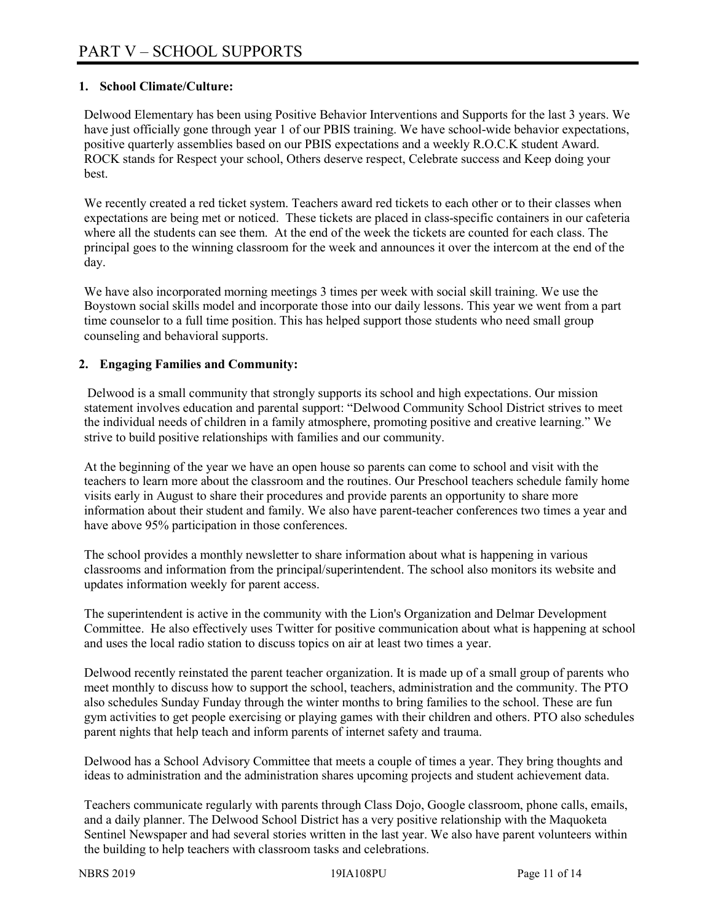## **1. School Climate/Culture:**

Delwood Elementary has been using Positive Behavior Interventions and Supports for the last 3 years. We have just officially gone through year 1 of our PBIS training. We have school-wide behavior expectations, positive quarterly assemblies based on our PBIS expectations and a weekly R.O.C.K student Award. ROCK stands for Respect your school, Others deserve respect, Celebrate success and Keep doing your best.

We recently created a red ticket system. Teachers award red tickets to each other or to their classes when expectations are being met or noticed. These tickets are placed in class-specific containers in our cafeteria where all the students can see them. At the end of the week the tickets are counted for each class. The principal goes to the winning classroom for the week and announces it over the intercom at the end of the day.

We have also incorporated morning meetings 3 times per week with social skill training. We use the Boystown social skills model and incorporate those into our daily lessons. This year we went from a part time counselor to a full time position. This has helped support those students who need small group counseling and behavioral supports.

#### **2. Engaging Families and Community:**

Delwood is a small community that strongly supports its school and high expectations. Our mission statement involves education and parental support: "Delwood Community School District strives to meet the individual needs of children in a family atmosphere, promoting positive and creative learning." We strive to build positive relationships with families and our community.

At the beginning of the year we have an open house so parents can come to school and visit with the teachers to learn more about the classroom and the routines. Our Preschool teachers schedule family home visits early in August to share their procedures and provide parents an opportunity to share more information about their student and family. We also have parent-teacher conferences two times a year and have above 95% participation in those conferences.

The school provides a monthly newsletter to share information about what is happening in various classrooms and information from the principal/superintendent. The school also monitors its website and updates information weekly for parent access.

The superintendent is active in the community with the Lion's Organization and Delmar Development Committee. He also effectively uses Twitter for positive communication about what is happening at school and uses the local radio station to discuss topics on air at least two times a year.

Delwood recently reinstated the parent teacher organization. It is made up of a small group of parents who meet monthly to discuss how to support the school, teachers, administration and the community. The PTO also schedules Sunday Funday through the winter months to bring families to the school. These are fun gym activities to get people exercising or playing games with their children and others. PTO also schedules parent nights that help teach and inform parents of internet safety and trauma.

Delwood has a School Advisory Committee that meets a couple of times a year. They bring thoughts and ideas to administration and the administration shares upcoming projects and student achievement data.

Teachers communicate regularly with parents through Class Dojo, Google classroom, phone calls, emails, and a daily planner. The Delwood School District has a very positive relationship with the Maquoketa Sentinel Newspaper and had several stories written in the last year. We also have parent volunteers within the building to help teachers with classroom tasks and celebrations.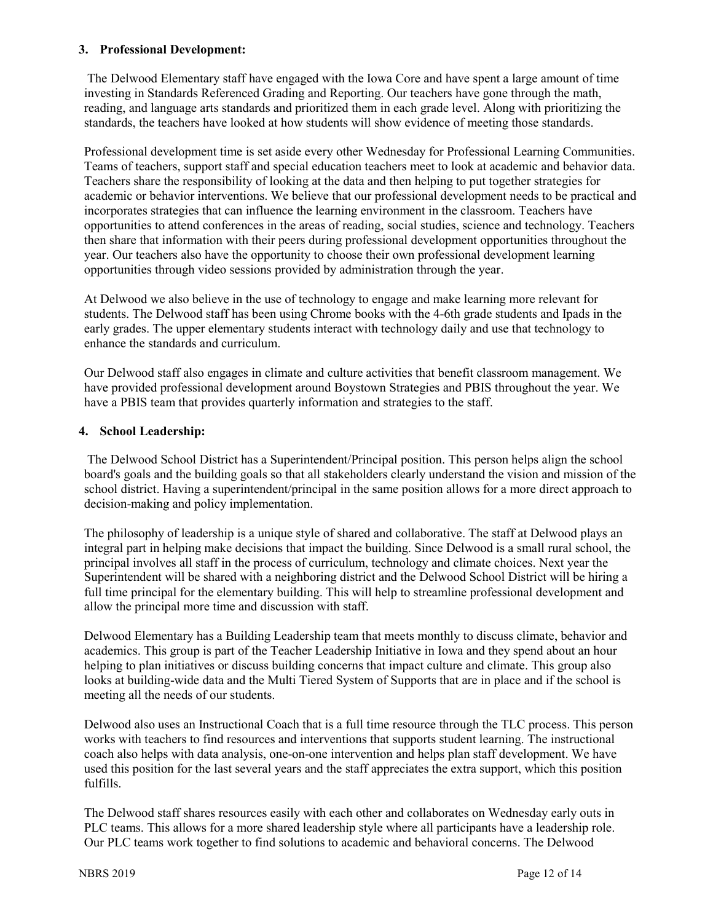#### **3. Professional Development:**

The Delwood Elementary staff have engaged with the Iowa Core and have spent a large amount of time investing in Standards Referenced Grading and Reporting. Our teachers have gone through the math, reading, and language arts standards and prioritized them in each grade level. Along with prioritizing the standards, the teachers have looked at how students will show evidence of meeting those standards.

Professional development time is set aside every other Wednesday for Professional Learning Communities. Teams of teachers, support staff and special education teachers meet to look at academic and behavior data. Teachers share the responsibility of looking at the data and then helping to put together strategies for academic or behavior interventions. We believe that our professional development needs to be practical and incorporates strategies that can influence the learning environment in the classroom. Teachers have opportunities to attend conferences in the areas of reading, social studies, science and technology. Teachers then share that information with their peers during professional development opportunities throughout the year. Our teachers also have the opportunity to choose their own professional development learning opportunities through video sessions provided by administration through the year.

At Delwood we also believe in the use of technology to engage and make learning more relevant for students. The Delwood staff has been using Chrome books with the 4-6th grade students and Ipads in the early grades. The upper elementary students interact with technology daily and use that technology to enhance the standards and curriculum.

Our Delwood staff also engages in climate and culture activities that benefit classroom management. We have provided professional development around Boystown Strategies and PBIS throughout the year. We have a PBIS team that provides quarterly information and strategies to the staff.

#### **4. School Leadership:**

The Delwood School District has a Superintendent/Principal position. This person helps align the school board's goals and the building goals so that all stakeholders clearly understand the vision and mission of the school district. Having a superintendent/principal in the same position allows for a more direct approach to decision-making and policy implementation.

The philosophy of leadership is a unique style of shared and collaborative. The staff at Delwood plays an integral part in helping make decisions that impact the building. Since Delwood is a small rural school, the principal involves all staff in the process of curriculum, technology and climate choices. Next year the Superintendent will be shared with a neighboring district and the Delwood School District will be hiring a full time principal for the elementary building. This will help to streamline professional development and allow the principal more time and discussion with staff.

Delwood Elementary has a Building Leadership team that meets monthly to discuss climate, behavior and academics. This group is part of the Teacher Leadership Initiative in Iowa and they spend about an hour helping to plan initiatives or discuss building concerns that impact culture and climate. This group also looks at building-wide data and the Multi Tiered System of Supports that are in place and if the school is meeting all the needs of our students.

Delwood also uses an Instructional Coach that is a full time resource through the TLC process. This person works with teachers to find resources and interventions that supports student learning. The instructional coach also helps with data analysis, one-on-one intervention and helps plan staff development. We have used this position for the last several years and the staff appreciates the extra support, which this position fulfills.

The Delwood staff shares resources easily with each other and collaborates on Wednesday early outs in PLC teams. This allows for a more shared leadership style where all participants have a leadership role. Our PLC teams work together to find solutions to academic and behavioral concerns. The Delwood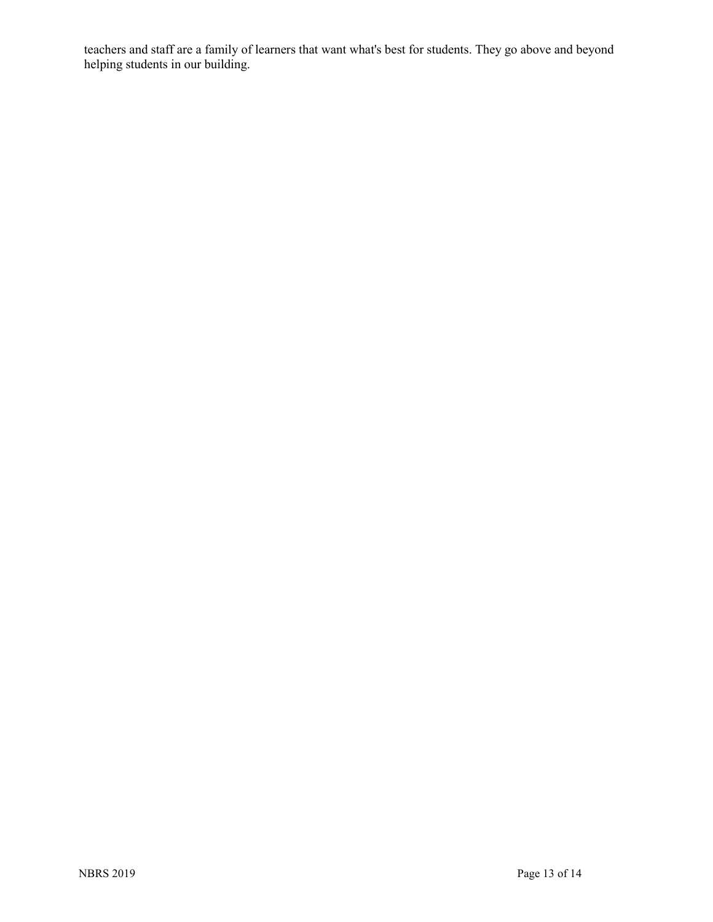teachers and staff are a family of learners that want what's best for students. They go above and beyond helping students in our building.